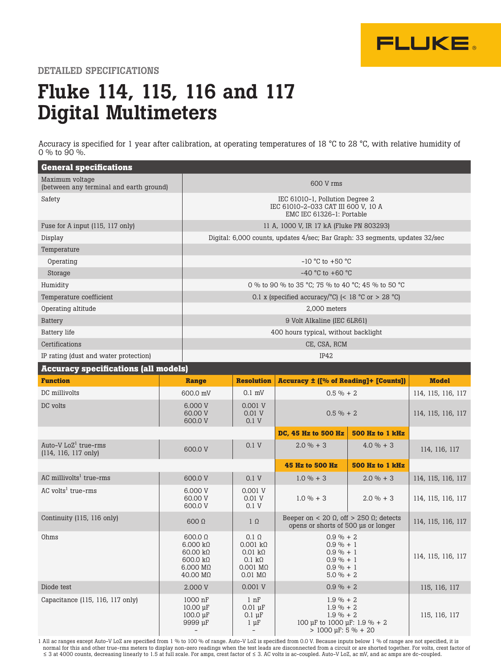

DETAILED SPECIFICATIONS

## Fluke 114, 115, 116 and 117 Digital Multimeters

Accuracy is specified for 1 year after calibration, at operating temperatures of 18 °C to 28 °C, with relative humidity of 0 % to 90 %.

| <b>General specifications</b>                              |                                                                                                                                                          |                                                                                                                          |                                                                                                                   |                        |                    |  |
|------------------------------------------------------------|----------------------------------------------------------------------------------------------------------------------------------------------------------|--------------------------------------------------------------------------------------------------------------------------|-------------------------------------------------------------------------------------------------------------------|------------------------|--------------------|--|
| Maximum voltage<br>(between any terminal and earth ground) |                                                                                                                                                          | 600 V rms                                                                                                                |                                                                                                                   |                        |                    |  |
| Safety                                                     |                                                                                                                                                          | IEC 61010-1, Pollution Degree 2<br>IEC 61010-2-033 CAT III 600 V, 10 A<br>EMC IEC 61326-1: Portable                      |                                                                                                                   |                        |                    |  |
| Fuse for A input (115, 117 only)                           |                                                                                                                                                          |                                                                                                                          | 11 A, 1000 V, IR 17 kA (Fluke PN 803293)                                                                          |                        |                    |  |
| Display                                                    |                                                                                                                                                          | Digital: 6,000 counts, updates 4/sec; Bar Graph: 33 segments, updates 32/sec                                             |                                                                                                                   |                        |                    |  |
| Temperature                                                |                                                                                                                                                          |                                                                                                                          |                                                                                                                   |                        |                    |  |
| Operating                                                  |                                                                                                                                                          | $-10$ °C to $+50$ °C                                                                                                     |                                                                                                                   |                        |                    |  |
| Storage                                                    |                                                                                                                                                          |                                                                                                                          | $-40$ °C to $+60$ °C                                                                                              |                        |                    |  |
| Humidity                                                   |                                                                                                                                                          |                                                                                                                          | 0 % to 90 % to 35 °C; 75 % to 40 °C; 45 % to 50 °C                                                                |                        |                    |  |
| Temperature coefficient                                    |                                                                                                                                                          |                                                                                                                          | 0.1 x (specified accuracy/°C) (< 18 °C or > 28 °C)                                                                |                        |                    |  |
| Operating altitude                                         |                                                                                                                                                          |                                                                                                                          | 2,000 meters                                                                                                      |                        |                    |  |
| <b>Battery</b>                                             |                                                                                                                                                          | 9 Volt Alkaline (IEC 6LR61)                                                                                              |                                                                                                                   |                        |                    |  |
| <b>Battery</b> life                                        |                                                                                                                                                          |                                                                                                                          | 400 hours typical, without backlight                                                                              |                        |                    |  |
| Certifications                                             |                                                                                                                                                          | CE, CSA, RCM                                                                                                             |                                                                                                                   |                        |                    |  |
| IP42<br>IP rating (dust and water protection)              |                                                                                                                                                          |                                                                                                                          |                                                                                                                   |                        |                    |  |
| <b>Accuracy specifications (all models)</b>                |                                                                                                                                                          |                                                                                                                          |                                                                                                                   |                        |                    |  |
| <b>Function</b>                                            | <b>Range</b>                                                                                                                                             | <b>Resolution</b>                                                                                                        | <b>Accuracy ± ([% of Reading]+ [Counts])</b>                                                                      |                        | <b>Model</b>       |  |
| DC millivolts                                              | 600.0 mV                                                                                                                                                 | $0.1$ mV                                                                                                                 | $0.5 \% + 2$                                                                                                      |                        | 114, 115, 116, 117 |  |
| DC volts                                                   | 6.000 V<br>60.00 V<br>600.0 V                                                                                                                            | 0.001 V<br>0.01V<br>0.1V                                                                                                 | $0.5 \% + 2$                                                                                                      |                        | 114, 115, 116, 117 |  |
|                                                            |                                                                                                                                                          |                                                                                                                          | DC, 45 Hz to 500 Hz                                                                                               | <b>500 Hz to 1 kHz</b> |                    |  |
| Auto-V $LoZ^1$ true-rms<br>(114, 116, 117 only)            | 600.0 V                                                                                                                                                  | 0.1V                                                                                                                     | $2.0 \% + 3$                                                                                                      | $4.0 \% + 3$           | 114, 116, 117      |  |
|                                                            |                                                                                                                                                          |                                                                                                                          | 45 Hz to 500 Hz                                                                                                   | <b>500 Hz to 1 kHz</b> |                    |  |
| AC millivolts <sup>1</sup> true-rms                        | 600.0 V                                                                                                                                                  | 0.1V                                                                                                                     | $1.0 \% + 3$                                                                                                      | $2.0 \% + 3$           | 114, 115, 116, 117 |  |
| AC volts <sup>1</sup> true-rms                             | 6.000 V<br>60.00 V<br>600.0 V                                                                                                                            | 0.001 V<br>0.01 V<br>0.1 V                                                                                               | $1.0 \% + 3$                                                                                                      | $2.0 \% + 3$           | 114, 115, 116, 117 |  |
| Continuity (115, 116 only)                                 | $600 \Omega$                                                                                                                                             | $1 \Omega$                                                                                                               | Beeper on < 20 $\Omega$ , off > 250 $\Omega$ ; detects<br>opens or shorts of 500 us or longer                     |                        | 114, 115, 116, 117 |  |
| Ohms                                                       | 600.0 $\Omega$<br>$6.000 \ \text{k}\Omega$<br>$60.00 \text{ k}\Omega$<br>$600.0 \; \text{k}\Omega$<br>$6.000 \text{ M}\Omega$<br>$40.00 \text{ M}\Omega$ | $0.1\ \Omega$<br>$0.001$ kΩ<br>$0.01 \text{ k}\Omega$<br>$0.1 \; \mathrm{k}\Omega$<br>0.001 MΩ<br>$0.01 \text{ M}\Omega$ | $0.9 \% + 2$<br>$0.9\% + 1$<br>$0.9 \% + 1$<br>$0.9 \% + 1$<br>$0.9 \% + 1$<br>$5.0 \% + 2$                       |                        | 114, 115, 116, 117 |  |
| Diode test                                                 | 2.000 V                                                                                                                                                  | 0.001 V                                                                                                                  | $0.9 \% + 2$                                                                                                      |                        | 115, 116, 117      |  |
| Capacitance (115, 116, 117 only)                           | 1000 nF<br>$10.00 \mu F$<br>$100.0 \mu F$<br>9999 µF<br>$\overline{\phantom{a}}$                                                                         | $1 \; \mathrm{nF}$<br>$0.01 \mu F$<br>$0.1 \mu F$<br>$1 \mu F$<br>$\overline{\phantom{a}}$                               | $1.9 \% + 2$<br>$1.9 \% + 2$<br>$1.9 \% + 2$<br>100 µF to 1000 µF: 1.9 % + 2<br>$> 1000 \,\mu\text{F}$ : 5 % + 20 |                        | 115, 116, 117      |  |

1 All ac ranges except Auto-V LoZ are specified from 1 % to 100 % of range. Auto-V LoZ is specified from 0.0 V. Because inputs below 1 % of range are not specified, it is normal for this and other true-rms meters to display non-zero readings when the test leads are disconnected from a circuit or are shorted together. For volts, crest factor of ≤ 3 at 4000 counts, decreasing linearly to 1.5 at full scale. For amps, crest factor of ≤ 3. AC volts is ac-coupled. Auto-V LoZ, ac mV, and ac amps are dc-coupled.